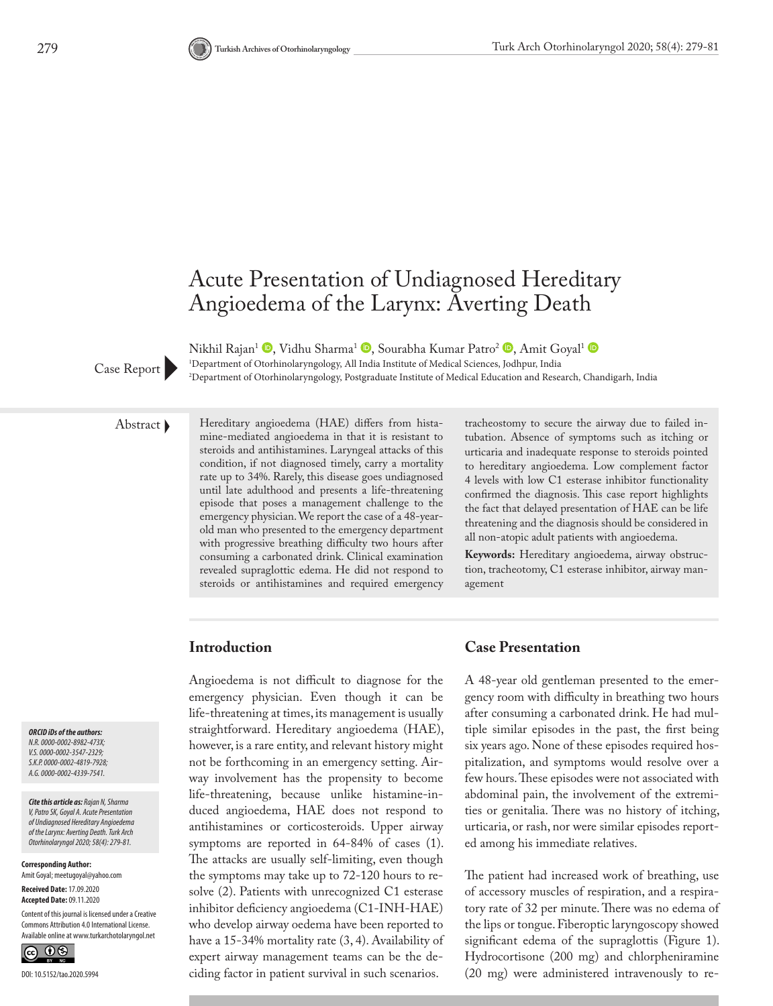

# Acute Presentation of Undiagnosed Hereditary Angioedema of the Larynx: Averting Death

Nikhil Rajan<sup>1</sup> <sup>(1)</sup>[,](http://orcid.org/0000-0002-4819-7928) Vidhu Sharma<sup>1</sup> <sup>(1)</sup>, Sourabha Kumar Patro<sup>2</sup> <sup>(10</sup>), Amit Goyal<sup>1</sup> (10) 1 Department of Otorhinolaryngology, All India Institute of Medical Sciences, Jodhpur, India Case Report Pepartment of Otorhinolaryngology, Postgraduate Institute of Medical Education and Research, Chandigarh, India Case Report

Abstract Hereditary angioedema (HAE) differs from histamine-mediated angioedema in that it is resistant to steroids and antihistamines. Laryngeal attacks of this condition, if not diagnosed timely, carry a mortality rate up to 34%. Rarely, this disease goes undiagnosed until late adulthood and presents a life-threatening episode that poses a management challenge to the emergency physician. We report the case of a 48-yearold man who presented to the emergency department with progressive breathing difficulty two hours after consuming a carbonated drink. Clinical examination revealed supraglottic edema. He did not respond to steroids or antihistamines and required emergency

tracheostomy to secure the airway due to failed intubation. Absence of symptoms such as itching or urticaria and inadequate response to steroids pointed to hereditary angioedema. Low complement factor 4 levels with low C1 esterase inhibitor functionality confirmed the diagnosis. This case report highlights the fact that delayed presentation of HAE can be life threatening and the diagnosis should be considered in all non-atopic adult patients with angioedema.

**Keywords:** Hereditary angioedema, airway obstruction, tracheotomy, C1 esterase inhibitor, airway management

# **Introduction**

Angioedema is not difficult to diagnose for the emergency physician. Even though it can be life-threatening at times, its management is usually straightforward. Hereditary angioedema (HAE), however, is a rare entity, and relevant history might not be forthcoming in an emergency setting. Airway involvement has the propensity to become life-threatening, because unlike histamine-induced angioedema, HAE does not respond to antihistamines or corticosteroids. Upper airway symptoms are reported in 64-84% of cases (1). The attacks are usually self-limiting, even though the symptoms may take up to 72-120 hours to resolve (2). Patients with unrecognized C1 esterase inhibitor deficiency angioedema (C1-INH-HAE) who develop airway oedema have been reported to have a 15-34% mortality rate (3, 4). Availability of expert airway management teams can be the deciding factor in patient survival in such scenarios.

## **Case Presentation**

A 48-year old gentleman presented to the emergency room with difficulty in breathing two hours after consuming a carbonated drink. He had multiple similar episodes in the past, the first being six years ago. None of these episodes required hospitalization, and symptoms would resolve over a few hours. These episodes were not associated with abdominal pain, the involvement of the extremities or genitalia. There was no history of itching, urticaria, or rash, nor were similar episodes reported among his immediate relatives.

The patient had increased work of breathing, use of accessory muscles of respiration, and a respiratory rate of 32 per minute. There was no edema of the lips or tongue. Fiberoptic laryngoscopy showed significant edema of the supraglottis (Figure 1). Hydrocortisone (200 mg) and chlorpheniramine (20 mg) were administered intravenously to re-

*ORCID iDs of the authors: N.R. 0000-0002-8982-473X; V.S. 0000-0002-3547-2329; S.K.P. 0000-0002-4819-7928; A.G. 0000-0002-4339-7541.*

*Cite this article as: Rajan N, Sharma V, Patro SK, Goyal A. Acute Presentation of Undiagnosed Hereditary Angioedema of the Larynx: Averting Death. Turk Arch Otorhinolaryngol 2020; 58(4): 279-81.*

**Corresponding Author:**  Amit Goyal; meetugoyal@yahoo.com

**Received Date:** 17.09.2020 **Accepted Date:** 09.11.2020

Content of this journal is licensed under a Creative Commons Attribution 4.0 International License. Available online at www.turkarchotolaryngol.net

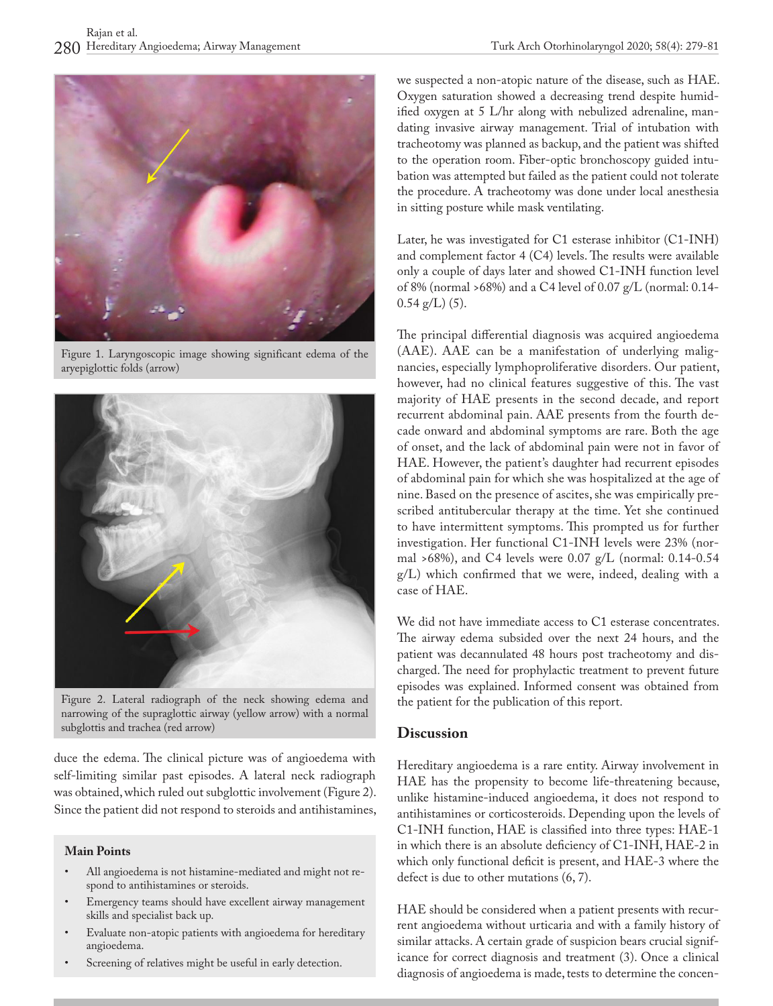

Figure 1. Laryngoscopic image showing significant edema of the aryepiglottic folds (arrow)



Figure 2. Lateral radiograph of the neck showing edema and narrowing of the supraglottic airway (yellow arrow) with a normal subglottis and trachea (red arrow)

duce the edema. The clinical picture was of angioedema with self-limiting similar past episodes. A lateral neck radiograph was obtained, which ruled out subglottic involvement (Figure 2). Since the patient did not respond to steroids and antihistamines,

#### **Main Points**

- All angioedema is not histamine-mediated and might not respond to antihistamines or steroids.
- Emergency teams should have excellent airway management skills and specialist back up.
- Evaluate non-atopic patients with angioedema for hereditary angioedema.
- Screening of relatives might be useful in early detection.

we suspected a non-atopic nature of the disease, such as HAE. Oxygen saturation showed a decreasing trend despite humidified oxygen at 5 L/hr along with nebulized adrenaline, mandating invasive airway management. Trial of intubation with tracheotomy was planned as backup, and the patient was shifted to the operation room. Fiber-optic bronchoscopy guided intubation was attempted but failed as the patient could not tolerate the procedure. A tracheotomy was done under local anesthesia in sitting posture while mask ventilating.

Later, he was investigated for C1 esterase inhibitor (C1-INH) and complement factor 4 (C4) levels. The results were available only a couple of days later and showed C1-INH function level of 8% (normal >68%) and a C4 level of 0.07 g/L (normal: 0.14-  $0.54$  g/L)  $(5)$ .

The principal differential diagnosis was acquired angioedema (AAE). AAE can be a manifestation of underlying malignancies, especially lymphoproliferative disorders. Our patient, however, had no clinical features suggestive of this. The vast majority of HAE presents in the second decade, and report recurrent abdominal pain. AAE presents from the fourth decade onward and abdominal symptoms are rare. Both the age of onset, and the lack of abdominal pain were not in favor of HAE. However, the patient's daughter had recurrent episodes of abdominal pain for which she was hospitalized at the age of nine. Based on the presence of ascites, she was empirically prescribed antitubercular therapy at the time. Yet she continued to have intermittent symptoms. This prompted us for further investigation. Her functional C1-INH levels were 23% (normal >68%), and C4 levels were 0.07 g/L (normal: 0.14-0.54 g/L) which confirmed that we were, indeed, dealing with a case of HAE.

We did not have immediate access to C1 esterase concentrates. The airway edema subsided over the next 24 hours, and the patient was decannulated 48 hours post tracheotomy and discharged. The need for prophylactic treatment to prevent future episodes was explained. Informed consent was obtained from the patient for the publication of this report.

### **Discussion**

Hereditary angioedema is a rare entity. Airway involvement in HAE has the propensity to become life-threatening because, unlike histamine-induced angioedema, it does not respond to antihistamines or corticosteroids. Depending upon the levels of C1-INH function, HAE is classified into three types: HAE-1 in which there is an absolute deficiency of C1-INH, HAE-2 in which only functional deficit is present, and HAE-3 where the defect is due to other mutations (6, 7).

HAE should be considered when a patient presents with recurrent angioedema without urticaria and with a family history of similar attacks. A certain grade of suspicion bears crucial significance for correct diagnosis and treatment (3). Once a clinical diagnosis of angioedema is made, tests to determine the concen